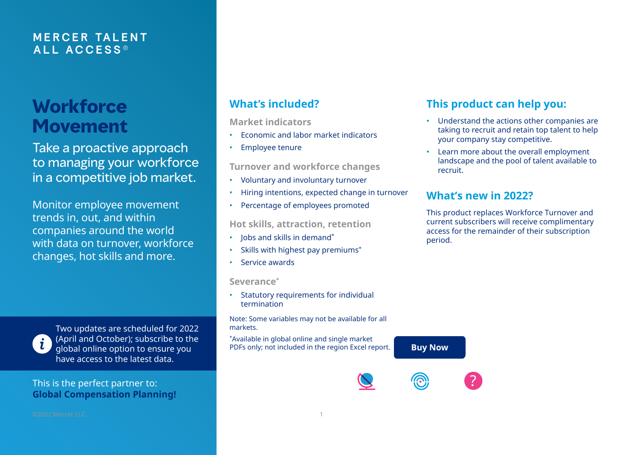## **M E RCER TA L E N T ALL A C C E S S ®**

## **Workforce Movement**

Take a proactive approach to managing your workforce in a competitive job market.

Monitor employee movement trends in, out, and within companies around the world with data on turnover, workforce changes, hot skills and more.

Two updates are scheduled for 2022 (April and October); subscribe to the global online option to ensure you have access to the latest data.

#### This is the perfect partner to: **[Global Compensation Planning!](https://www.imercer.com/products/Global-Compensation-Planning-Report)**

## **What's included?**

**Market indicators** 

- Economic and labor market indicators
- Employee tenure

**Turnover and workforce changes**

- Voluntary and involuntary turnover
- Hiring intentions, expected change in turnover
- Percentage of employees promoted

#### **Hot skills, attraction, retention**

- Jobs and skills in demand\*
- Skills with highest pay premiums\*
- Service awards

**Severance\***

• Statutory requirements for individual termination

Note: Some variables may not be available for all markets.

\*Available in global online and single market PDFs only; not included in the region Excel report.

## **This product can help you:**

- Understand the actions other companies are taking to recruit and retain top talent to help your company stay competitive.
- Learn more about the overall employment landscape and the pool of talent available to recruit.

## **What's new in 2022?**

This product replaces Workforce Turnover and current subscribers will receive complimentary access for the remainder of their subscription period.